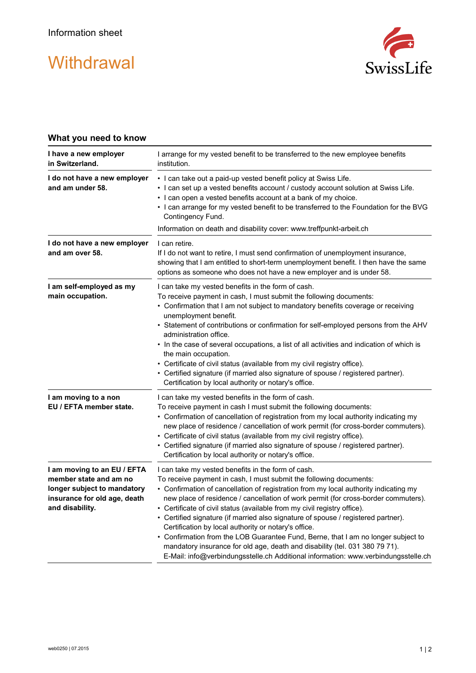## **Withdrawal**



## **What you need to know**

| I have a new employer<br>in Switzerland.                                                                                                | I arrange for my vested benefit to be transferred to the new employee benefits<br>institution.                                                                                                                                                                                                                                                                                                                                                                                                                                                                                                                                                                                                                                                                                            |
|-----------------------------------------------------------------------------------------------------------------------------------------|-------------------------------------------------------------------------------------------------------------------------------------------------------------------------------------------------------------------------------------------------------------------------------------------------------------------------------------------------------------------------------------------------------------------------------------------------------------------------------------------------------------------------------------------------------------------------------------------------------------------------------------------------------------------------------------------------------------------------------------------------------------------------------------------|
| I do not have a new employer<br>and am under 58.                                                                                        | • I can take out a paid-up vested benefit policy at Swiss Life.<br>. I can set up a vested benefits account / custody account solution at Swiss Life.<br>• I can open a vested benefits account at a bank of my choice.<br>. I can arrange for my vested benefit to be transferred to the Foundation for the BVG<br>Contingency Fund.<br>Information on death and disability cover: www.treffpunkt-arbeit.ch                                                                                                                                                                                                                                                                                                                                                                              |
| I do not have a new employer<br>and am over 58.                                                                                         | I can retire.<br>If I do not want to retire, I must send confirmation of unemployment insurance,<br>showing that I am entitled to short-term unemployment benefit. I then have the same<br>options as someone who does not have a new employer and is under 58.                                                                                                                                                                                                                                                                                                                                                                                                                                                                                                                           |
| I am self-employed as my<br>main occupation.                                                                                            | I can take my vested benefits in the form of cash.<br>To receive payment in cash, I must submit the following documents:<br>• Confirmation that I am not subject to mandatory benefits coverage or receiving<br>unemployment benefit.<br>• Statement of contributions or confirmation for self-employed persons from the AHV<br>administration office.<br>• In the case of several occupations, a list of all activities and indication of which is<br>the main occupation.<br>• Certificate of civil status (available from my civil registry office).<br>• Certified signature (if married also signature of spouse / registered partner).<br>Certification by local authority or notary's office.                                                                                      |
| I am moving to a non<br>EU / EFTA member state.                                                                                         | I can take my vested benefits in the form of cash.<br>To receive payment in cash I must submit the following documents:<br>• Confirmation of cancellation of registration from my local authority indicating my<br>new place of residence / cancellation of work permit (for cross-border commuters).<br>• Certificate of civil status (available from my civil registry office).<br>• Certified signature (if married also signature of spouse / registered partner).<br>Certification by local authority or notary's office.                                                                                                                                                                                                                                                            |
| I am moving to an EU / EFTA<br>member state and am no<br>longer subject to mandatory<br>insurance for old age, death<br>and disability. | I can take my vested benefits in the form of cash.<br>To receive payment in cash, I must submit the following documents:<br>• Confirmation of cancellation of registration from my local authority indicating my<br>new place of residence / cancellation of work permit (for cross-border commuters).<br>• Certificate of civil status (available from my civil registry office).<br>• Certified signature (if married also signature of spouse / registered partner).<br>Certification by local authority or notary's office.<br>• Confirmation from the LOB Guarantee Fund, Berne, that I am no longer subject to<br>mandatory insurance for old age, death and disability (tel. 031 380 79 71).<br>E-Mail: info@verbindungsstelle.ch Additional information: www.verbindungsstelle.ch |